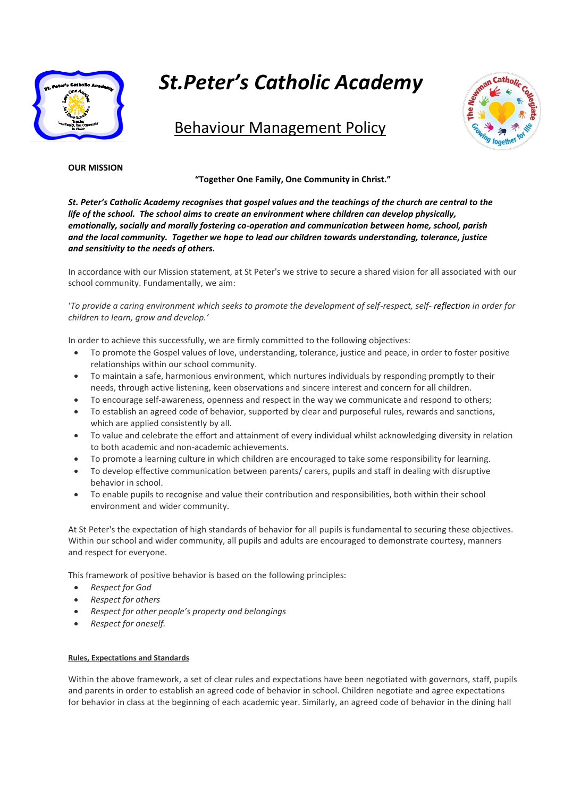

# *St.Peter's Catholic Academy*

# Behaviour Management Policy



# **OUR MISSION**

**"Together One Family, One Community in Christ."**

*St. Peter's Catholic Academy recognises that gospel values and the teachings of the church are central to the life of the school. The school aims to create an environment where children can develop physically, emotionally, socially and morally fostering co-operation and communication between home, school, parish and the local community. Together we hope to lead our children towards understanding, tolerance, justice and sensitivity to the needs of others.*

In accordance with our Mission statement, at St Peter's we strive to secure a shared vision for all associated with our school community. Fundamentally, we aim:

'*To provide a caring environment which seeks to promote the development of self-respect, self- reflection in order for children to learn, grow and develop.'*

In order to achieve this successfully, we are firmly committed to the following objectives:

- To promote the Gospel values of love, understanding, tolerance, justice and peace, in order to foster positive relationships within our school community.
- To maintain a safe, harmonious environment, which nurtures individuals by responding promptly to their needs, through active listening, keen observations and sincere interest and concern for all children.
- To encourage self-awareness, openness and respect in the way we communicate and respond to others;
- To establish an agreed code of behavior, supported by clear and purposeful rules, rewards and sanctions, which are applied consistently by all.
- To value and celebrate the effort and attainment of every individual whilst acknowledging diversity in relation to both academic and non-academic achievements.
- To promote a learning culture in which children are encouraged to take some responsibility for learning.
- To develop effective communication between parents/ carers, pupils and staff in dealing with disruptive behavior in school.
- To enable pupils to recognise and value their contribution and responsibilities, both within their school environment and wider community.

At St Peter's the expectation of high standards of behavior for all pupils is fundamental to securing these objectives. Within our school and wider community, all pupils and adults are encouraged to demonstrate courtesy, manners and respect for everyone.

This framework of positive behavior is based on the following principles:

- *Respect for God*
- *Respect for others*
- *Respect for other people's property and belongings*
- *Respect for oneself.*

# **Rules, Expectations and Standards**

Within the above framework, a set of clear rules and expectations have been negotiated with governors, staff, pupils and parents in order to establish an agreed code of behavior in school. Children negotiate and agree expectations for behavior in class at the beginning of each academic year. Similarly, an agreed code of behavior in the dining hall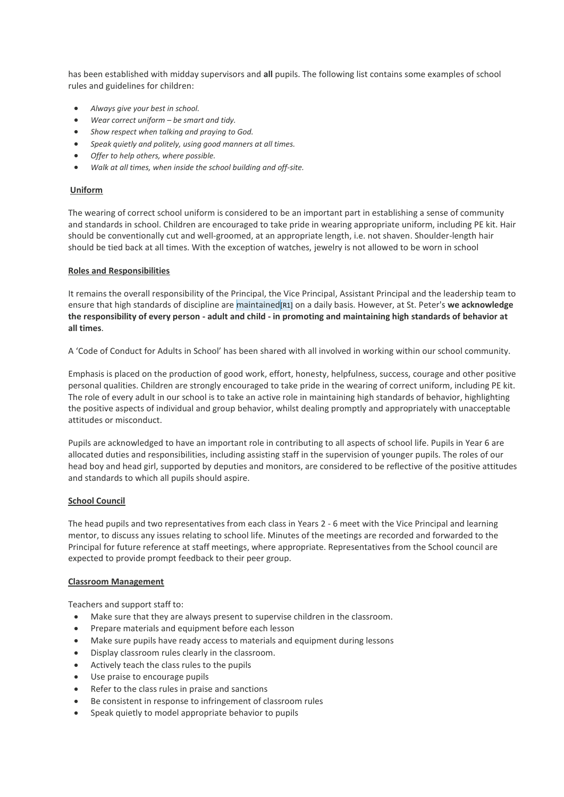has been established with midday supervisors and **all** pupils. The following list contains some examples of school rules and guidelines for children:

- *Always give your best in school.*
- *Wear correct uniform – be smart and tidy.*
- *Show respect when talking and praying to God.*
- *Speak quietly and politely, using good manners at all times.*
- *Offer to help others, where possible.*
- *Walk at all times, when inside the school building and off-site.*

#### **Uniform**

The wearing of correct school uniform is considered to be an important part in establishing a sense of community and standards in school. Children are encouraged to take pride in wearing appropriate uniform, including PE kit. Hair should be conventionally cut and well-groomed, at an appropriate length, i.e. not shaven. Shoulder-length hair should be tied back at all times. With the exception of watches, jewelry is not allowed to be worn in school

#### **Roles and Responsibilities**

It remains the overall responsibility of the Principal, the Vice Principal, Assistant Principal and the leadership team to ensure that high standards of discipline are maintained[R1] on a daily basis. However, at St. Peter's **we acknowledge the responsibility of every person - adult and child - in promoting and maintaining high standards of behavior at all times**.

A 'Code of Conduct for Adults in School' has been shared with all involved in working within our school community.

Emphasis is placed on the production of good work, effort, honesty, helpfulness, success, courage and other positive personal qualities. Children are strongly encouraged to take pride in the wearing of correct uniform, including PE kit. The role of every adult in our school is to take an active role in maintaining high standards of behavior, highlighting the positive aspects of individual and group behavior, whilst dealing promptly and appropriately with unacceptable attitudes or misconduct.

Pupils are acknowledged to have an important role in contributing to all aspects of school life. Pupils in Year 6 are allocated duties and responsibilities, including assisting staff in the supervision of younger pupils. The roles of our head boy and head girl, supported by deputies and monitors, are considered to be reflective of the positive attitudes and standards to which all pupils should aspire.

#### **School Council**

The head pupils and two representatives from each class in Years 2 - 6 meet with the Vice Principal and learning mentor, to discuss any issues relating to school life. Minutes of the meetings are recorded and forwarded to the Principal for future reference at staff meetings, where appropriate. Representatives from the School council are expected to provide prompt feedback to their peer group.

#### **Classroom Management**

Teachers and support staff to:

- Make sure that they are always present to supervise children in the classroom.
- Prepare materials and equipment before each lesson
- Make sure pupils have ready access to materials and equipment during lessons
- Display classroom rules clearly in the classroom.
- Actively teach the class rules to the pupils
- Use praise to encourage pupils
- Refer to the class rules in praise and sanctions
- Be consistent in response to infringement of classroom rules
- Speak quietly to model appropriate behavior to pupils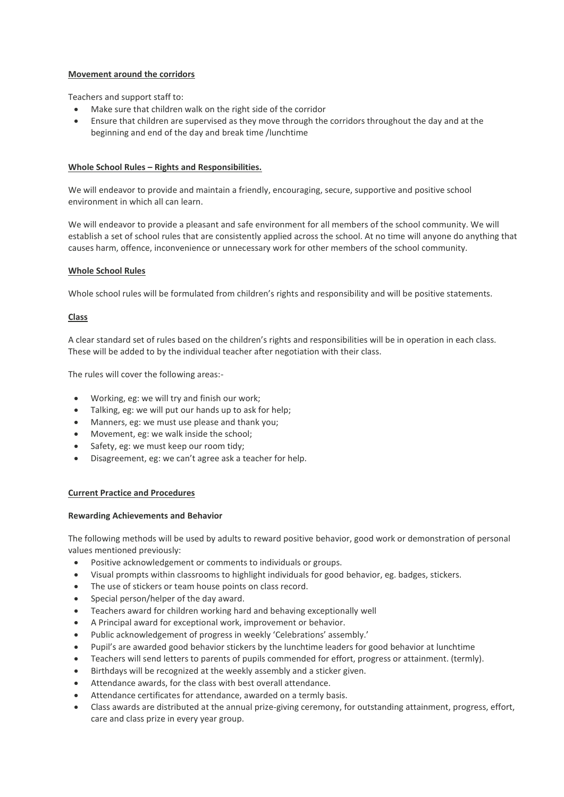# **Movement around the corridors**

Teachers and support staff to:

- Make sure that children walk on the right side of the corridor
- Ensure that children are supervised as they move through the corridors throughout the day and at the beginning and end of the day and break time /lunchtime

# **Whole School Rules – Rights and Responsibilities.**

We will endeavor to provide and maintain a friendly, encouraging, secure, supportive and positive school environment in which all can learn.

We will endeavor to provide a pleasant and safe environment for all members of the school community. We will establish a set of school rules that are consistently applied across the school. At no time will anyone do anything that causes harm, offence, inconvenience or unnecessary work for other members of the school community.

# **Whole School Rules**

Whole school rules will be formulated from children's rights and responsibility and will be positive statements.

# **Class**

A clear standard set of rules based on the children's rights and responsibilities will be in operation in each class. These will be added to by the individual teacher after negotiation with their class.

The rules will cover the following areas:-

- Working, eg: we will try and finish our work;
- Talking, eg: we will put our hands up to ask for help;
- Manners, eg: we must use please and thank you;
- Movement, eg: we walk inside the school;
- Safety, eg: we must keep our room tidy;
- Disagreement, eg: we can't agree ask a teacher for help.

# **Current Practice and Procedures**

# **Rewarding Achievements and Behavior**

The following methods will be used by adults to reward positive behavior, good work or demonstration of personal values mentioned previously:

- Positive acknowledgement or comments to individuals or groups.
- Visual prompts within classrooms to highlight individuals for good behavior, eg. badges, stickers.
- The use of stickers or team house points on class record.
- Special person/helper of the day award.
- Teachers award for children working hard and behaving exceptionally well
- A Principal award for exceptional work, improvement or behavior.
- Public acknowledgement of progress in weekly 'Celebrations' assembly.'
- Pupil's are awarded good behavior stickers by the lunchtime leaders for good behavior at lunchtime
- Teachers will send letters to parents of pupils commended for effort, progress or attainment. (termly).
- Birthdays will be recognized at the weekly assembly and a sticker given.
- Attendance awards, for the class with best overall attendance.
- Attendance certificates for attendance, awarded on a termly basis.
- Class awards are distributed at the annual prize-giving ceremony, for outstanding attainment, progress, effort, care and class prize in every year group.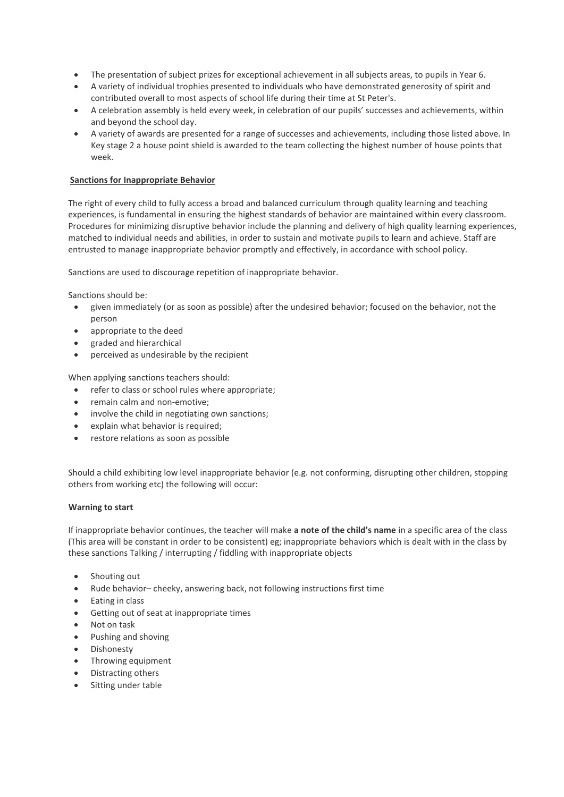- The presentation of subject prizes for exceptional achievement in all subjects areas, to pupils in Year 6.
- A variety of individual trophies presented to individuals who have demonstrated generosity of spirit and contributed overall to most aspects of school life during their time at St Peter's.
- A celebration assembly is held every week, in celebration of our pupils' successes and achievements, within and beyond the school day.
- A variety of awards are presented for a range of successes and achievements, including those listed above. In Key stage 2 a house point shield is awarded to the team collecting the highest number of house points that week.

# **Sanctions for Inappropriate Behavior**

The right of every child to fully access a broad and balanced curriculum through quality learning and teaching experiences, is fundamental in ensuring the highest standards of behavior are maintained within every classroom. Procedures for minimizing disruptive behavior include the planning and delivery of high quality learning experiences, matched to individual needs and abilities, in order to sustain and motivate pupils to learn and achieve. Staff are entrusted to manage inappropriate behavior promptly and effectively, in accordance with school policy.

Sanctions are used to discourage repetition of inappropriate behavior.

Sanctions should be:

- given immediately (or as soon as possible) after the undesired behavior; focused on the behavior, not the person
- appropriate to the deed
- graded and hierarchical
- perceived as undesirable by the recipient

When applying sanctions teachers should:

- refer to class or school rules where appropriate;
- remain calm and non-emotive;
- involve the child in negotiating own sanctions;
- explain what behavior is required;
- restore relations as soon as possible

Should a child exhibiting low level inappropriate behavior (e.g. not conforming, disrupting other children, stopping others from working etc) the following will occur:

# **Warning to start**

If inappropriate behavior continues, the teacher will make **a note of the child's name** in a specific area of the class (This area will be constant in order to be consistent) eg; inappropriate behaviors which is dealt with in the class by these sanctions Talking / interrupting / fiddling with inappropriate objects

- Shouting out
- Rude behavior– cheeky, answering back, not following instructions first time
- Eating in class
- Getting out of seat at inappropriate times
- Not on task
- Pushing and shoving
- Dishonesty
- Throwing equipment
- Distracting others
- Sitting under table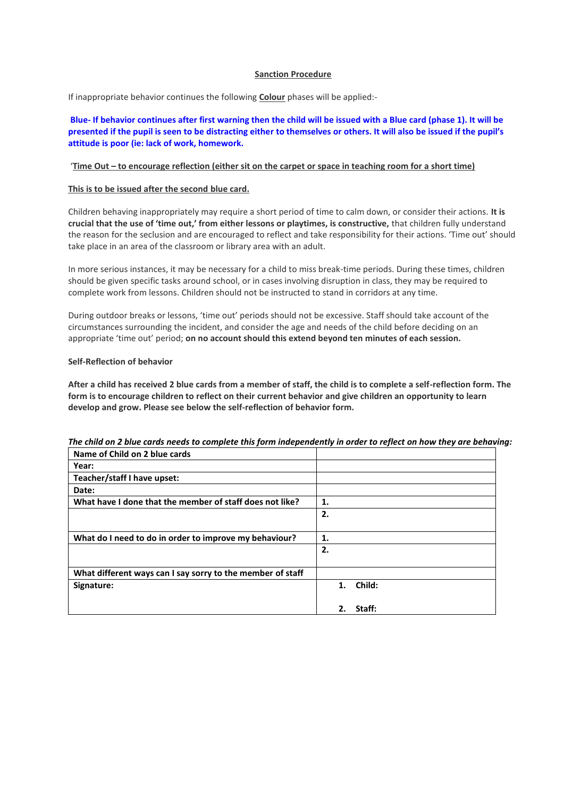# **Sanction Procedure**

If inappropriate behavior continues the following **Colour** phases will be applied:-

**Blue- If behavior continues after first warning then the child will be issued with a Blue card (phase 1). It will be presented if the pupil is seen to be distracting either to themselves or others. It will also be issued if the pupil's attitude is poor (ie: lack of work, homework.** 

#### '**Time Out – to encourage reflection (either sit on the carpet or space in teaching room for a short time)**

#### **This is to be issued after the second blue card.**

Children behaving inappropriately may require a short period of time to calm down, or consider their actions. **It is crucial that the use of 'time out,' from either lessons or playtimes, is constructive,** that children fully understand the reason for the seclusion and are encouraged to reflect and take responsibility for their actions. 'Time out' should take place in an area of the classroom or library area with an adult.

In more serious instances, it may be necessary for a child to miss break-time periods. During these times, children should be given specific tasks around school, or in cases involving disruption in class, they may be required to complete work from lessons. Children should not be instructed to stand in corridors at any time.

During outdoor breaks or lessons, 'time out' periods should not be excessive. Staff should take account of the circumstances surrounding the incident, and consider the age and needs of the child before deciding on an appropriate 'time out' period; **on no account should this extend beyond ten minutes of each session.**

#### **Self-Reflection of behavior**

**After a child has received 2 blue cards from a member of staff, the child is to complete a self-reflection form. The form is to encourage children to reflect on their current behavior and give children an opportunity to learn develop and grow. Please see below the self-reflection of behavior form.**

| Name of Child on 2 blue cards                              |              |
|------------------------------------------------------------|--------------|
| Year:                                                      |              |
| Teacher/staff I have upset:                                |              |
| Date:                                                      |              |
| What have I done that the member of staff does not like?   | 1.           |
|                                                            | 2.           |
|                                                            |              |
| What do I need to do in order to improve my behaviour?     | 1.           |
|                                                            | 2.           |
|                                                            |              |
| What different ways can I say sorry to the member of staff |              |
| Signature:                                                 | 1. Child:    |
|                                                            |              |
|                                                            | 2.<br>Staff: |

# *The child on 2 blue cards needs to complete this form independently in order to reflect on how they are behaving:*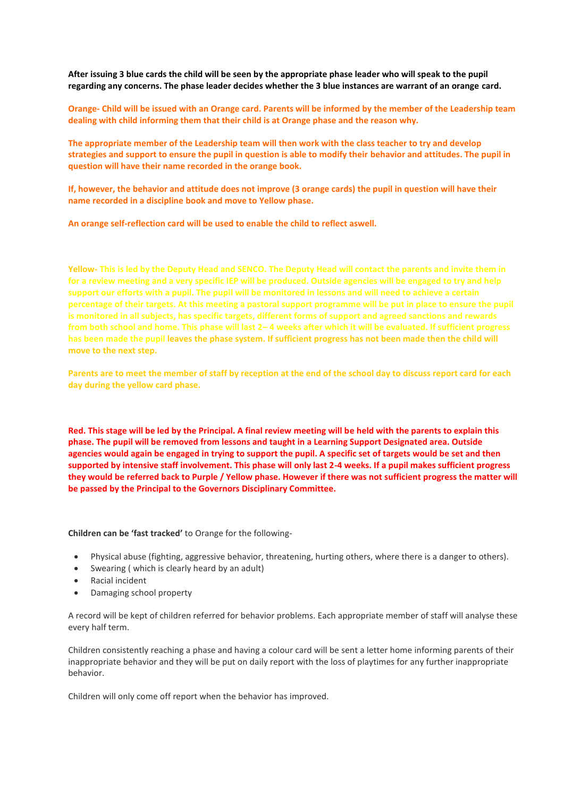**After issuing 3 blue cards the child will be seen by the appropriate phase leader who will speak to the pupil regarding any concerns. The phase leader decides whether the 3 blue instances are warrant of an orange card.**

**Orange- Child will be issued with an Orange card. Parents will be informed by the member of the Leadership team dealing with child informing them that their child is at Orange phase and the reason why.** 

**The appropriate member of the Leadership team will then work with the class teacher to try and develop strategies and support to ensure the pupil in question is able to modify their behavior and attitudes. The pupil in question will have their name recorded in the orange book.** 

**If, however, the behavior and attitude does not improve (3 orange cards) the pupil in question will have their name recorded in a discipline book and move to Yellow phase.**

**An orange self-reflection card will be used to enable the child to reflect aswell.**

**Yellow- This is led by the Deputy Head and SENCO. The Deputy Head will contact the parents and invite them in for a review meeting and a very specific IEP will be produced. Outside agencies will be engaged to try and help support our efforts with a pupil. The pupil will be monitored in lessons and will need to achieve a certain percentage of their targets. At this meeting a pastoral support programme will be put in place to ensure the pupil is monitored in all subjects, has specific targets, different forms of support and agreed sanctions and rewards from both school and home. This phase will last 2– 4 weeks after which it will be evaluated. If sufficient progress has been made the pupil leaves the phase system. If sufficient progress has not been made then the child will move to the next step.** 

**Parents are to meet the member of staff by reception at the end of the school day to discuss report card for each day during the yellow card phase.** 

**Red. This stage will be led by the Principal. A final review meeting will be held with the parents to explain this phase. The pupil will be removed from lessons and taught in a Learning Support Designated area. Outside agencies would again be engaged in trying to support the pupil. A specific set of targets would be set and then supported by intensive staff involvement. This phase will only last 2-4 weeks. If a pupil makes sufficient progress they would be referred back to Purple / Yellow phase. However if there was not sufficient progress the matter will be passed by the Principal to the Governors Disciplinary Committee.**

**Children can be 'fast tracked'** to Orange for the following-

- Physical abuse (fighting, aggressive behavior, threatening, hurting others, where there is a danger to others).
- Swearing ( which is clearly heard by an adult)
- Racial incident
- Damaging school property

A record will be kept of children referred for behavior problems. Each appropriate member of staff will analyse these every half term.

Children consistently reaching a phase and having a colour card will be sent a letter home informing parents of their inappropriate behavior and they will be put on daily report with the loss of playtimes for any further inappropriate behavior.

Children will only come off report when the behavior has improved.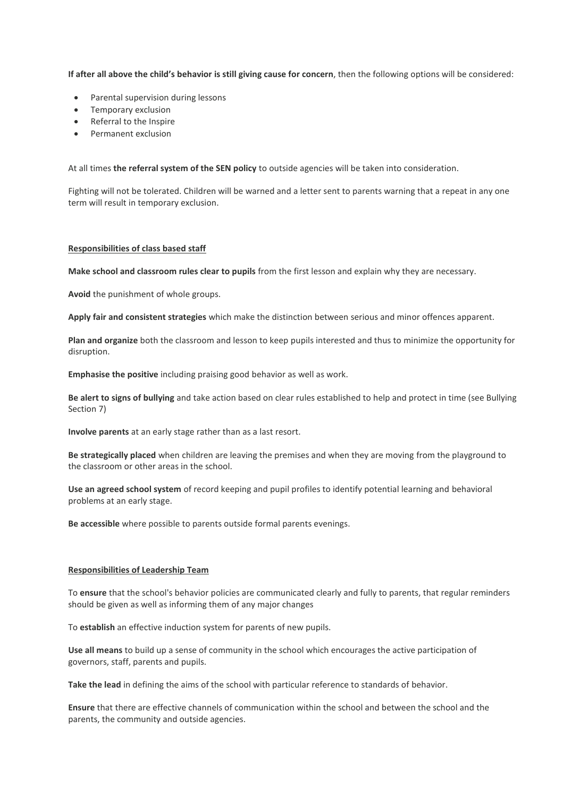**If after all above the child's behavior is still giving cause for concern**, then the following options will be considered:

- Parental supervision during lessons
- Temporary exclusion
- Referral to the Inspire
- Permanent exclusion

At all times **the referral system of the SEN policy** to outside agencies will be taken into consideration.

Fighting will not be tolerated. Children will be warned and a letter sent to parents warning that a repeat in any one term will result in temporary exclusion.

#### **Responsibilities of class based staff**

**Make school and classroom rules clear to pupils** from the first lesson and explain why they are necessary.

**Avoid** the punishment of whole groups.

**Apply fair and consistent strategies** which make the distinction between serious and minor offences apparent.

**Plan and organize** both the classroom and lesson to keep pupils interested and thus to minimize the opportunity for disruption.

**Emphasise the positive** including praising good behavior as well as work.

**Be alert to signs of bullying** and take action based on clear rules established to help and protect in time (see Bullying Section 7)

**Involve parents** at an early stage rather than as a last resort.

**Be strategically placed** when children are leaving the premises and when they are moving from the playground to the classroom or other areas in the school.

**Use an agreed school system** of record keeping and pupil profiles to identify potential learning and behavioral problems at an early stage.

**Be accessible** where possible to parents outside formal parents evenings.

#### **Responsibilities of Leadership Team**

To **ensure** that the school's behavior policies are communicated clearly and fully to parents, that regular reminders should be given as well as informing them of any major changes

To **establish** an effective induction system for parents of new pupils.

**Use all means** to build up a sense of community in the school which encourages the active participation of governors, staff, parents and pupils.

**Take the lead** in defining the aims of the school with particular reference to standards of behavior.

**Ensure** that there are effective channels of communication within the school and between the school and the parents, the community and outside agencies.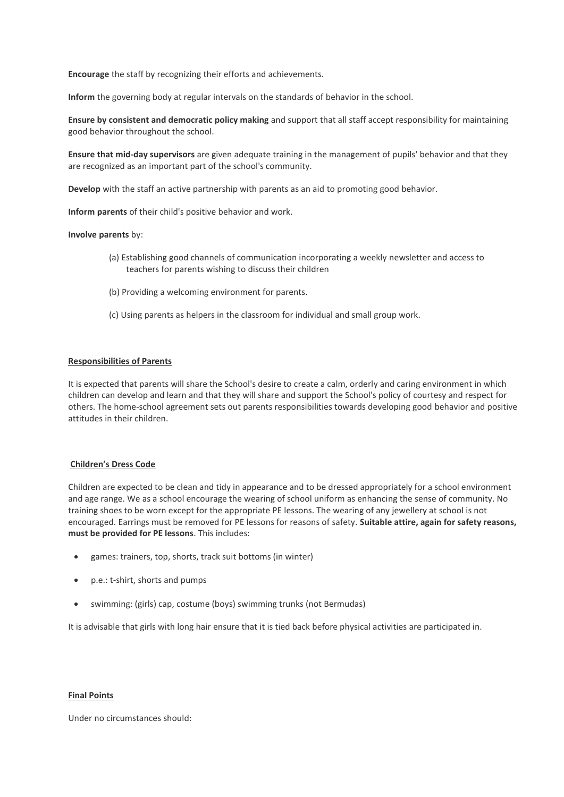**Encourage** the staff by recognizing their efforts and achievements.

**Inform** the governing body at regular intervals on the standards of behavior in the school.

**Ensure by consistent and democratic policy making** and support that all staff accept responsibility for maintaining good behavior throughout the school.

**Ensure that mid-day supervisors** are given adequate training in the management of pupils' behavior and that they are recognized as an important part of the school's community.

**Develop** with the staff an active partnership with parents as an aid to promoting good behavior.

**Inform parents** of their child's positive behavior and work.

#### **Involve parents** by:

- (a) Establishing good channels of communication incorporating a weekly newsletter and access to teachers for parents wishing to discuss their children
- (b) Providing a welcoming environment for parents.
- (c) Using parents as helpers in the classroom for individual and small group work.

#### **Responsibilities of Parents**

It is expected that parents will share the School's desire to create a calm, orderly and caring environment in which children can develop and learn and that they will share and support the School's policy of courtesy and respect for others. The home-school agreement sets out parents responsibilities towards developing good behavior and positive attitudes in their children.

# **Children's Dress Code**

Children are expected to be clean and tidy in appearance and to be dressed appropriately for a school environment and age range. We as a school encourage the wearing of school uniform as enhancing the sense of community. No training shoes to be worn except for the appropriate PE lessons. The wearing of any jewellery at school is not encouraged. Earrings must be removed for PE lessons for reasons of safety. **Suitable attire, again for safety reasons, must be provided for PE lessons**. This includes:

- games: trainers, top, shorts, track suit bottoms (in winter)
- p.e.: t-shirt, shorts and pumps
- swimming: (girls) cap, costume (boys) swimming trunks (not Bermudas)

It is advisable that girls with long hair ensure that it is tied back before physical activities are participated in.

#### **Final Points**

Under no circumstances should: